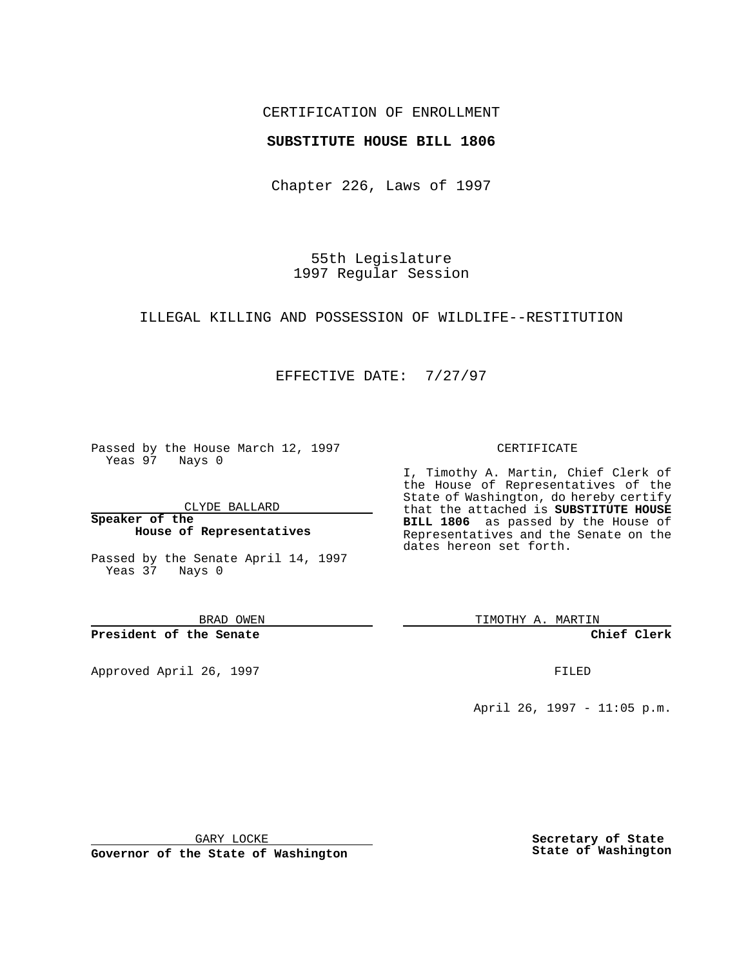## CERTIFICATION OF ENROLLMENT

## **SUBSTITUTE HOUSE BILL 1806**

Chapter 226, Laws of 1997

55th Legislature 1997 Regular Session

ILLEGAL KILLING AND POSSESSION OF WILDLIFE--RESTITUTION

## EFFECTIVE DATE: 7/27/97

Passed by the House March 12, 1997 Yeas 97 Nays 0

CLYDE BALLARD

**Speaker of the House of Representatives**

Passed by the Senate April 14, 1997 Yeas 37 Nays 0

BRAD OWEN

**President of the Senate**

Approved April 26, 1997 **FILED** 

#### CERTIFICATE

I, Timothy A. Martin, Chief Clerk of the House of Representatives of the State of Washington, do hereby certify that the attached is **SUBSTITUTE HOUSE BILL 1806** as passed by the House of Representatives and the Senate on the dates hereon set forth.

TIMOTHY A. MARTIN

**Chief Clerk**

April 26, 1997 - 11:05 p.m.

GARY LOCKE

**Governor of the State of Washington**

**Secretary of State State of Washington**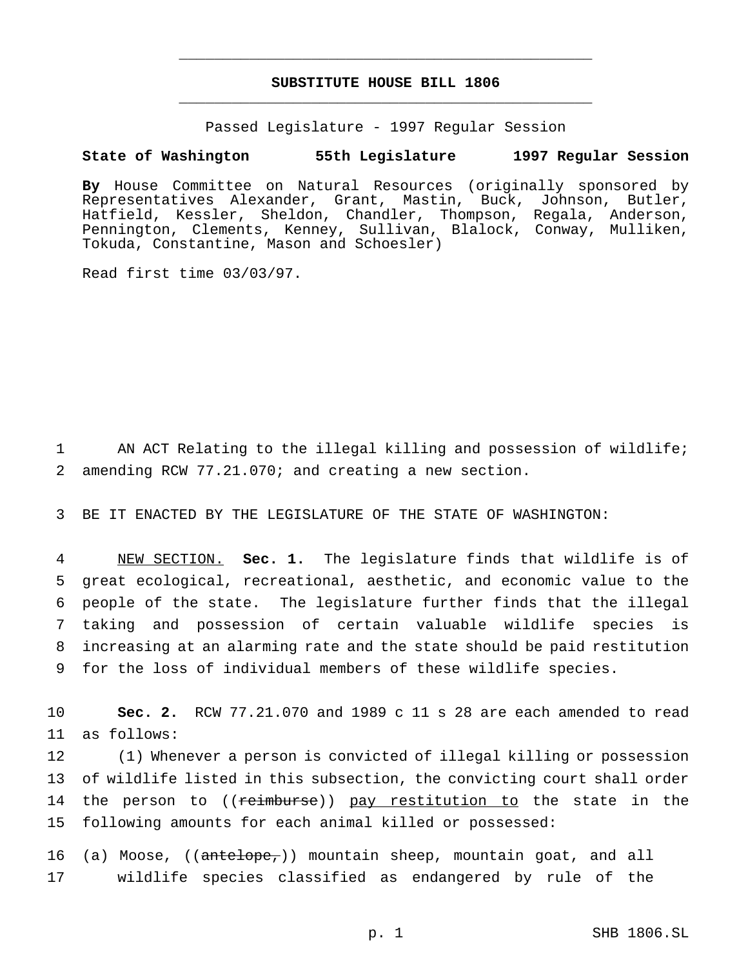# **SUBSTITUTE HOUSE BILL 1806** \_\_\_\_\_\_\_\_\_\_\_\_\_\_\_\_\_\_\_\_\_\_\_\_\_\_\_\_\_\_\_\_\_\_\_\_\_\_\_\_\_\_\_\_\_\_\_

\_\_\_\_\_\_\_\_\_\_\_\_\_\_\_\_\_\_\_\_\_\_\_\_\_\_\_\_\_\_\_\_\_\_\_\_\_\_\_\_\_\_\_\_\_\_\_

Passed Legislature - 1997 Regular Session

### **State of Washington 55th Legislature 1997 Regular Session**

**By** House Committee on Natural Resources (originally sponsored by Representatives Alexander, Grant, Mastin, Buck, Johnson, Butler, Hatfield, Kessler, Sheldon, Chandler, Thompson, Regala, Anderson, Pennington, Clements, Kenney, Sullivan, Blalock, Conway, Mulliken, Tokuda, Constantine, Mason and Schoesler)

Read first time 03/03/97.

1 AN ACT Relating to the illegal killing and possession of wildlife; 2 amending RCW 77.21.070; and creating a new section.

3 BE IT ENACTED BY THE LEGISLATURE OF THE STATE OF WASHINGTON:

 NEW SECTION. **Sec. 1.** The legislature finds that wildlife is of great ecological, recreational, aesthetic, and economic value to the people of the state. The legislature further finds that the illegal taking and possession of certain valuable wildlife species is increasing at an alarming rate and the state should be paid restitution for the loss of individual members of these wildlife species.

10 **Sec. 2.** RCW 77.21.070 and 1989 c 11 s 28 are each amended to read 11 as follows:

 (1) Whenever a person is convicted of illegal killing or possession of wildlife listed in this subsection, the convicting court shall order 14 the person to ((reimburse)) pay restitution to the state in the following amounts for each animal killed or possessed:

16 (a) Moose, ((antelope,)) mountain sheep, mountain goat, and all 17 wildlife species classified as endangered by rule of the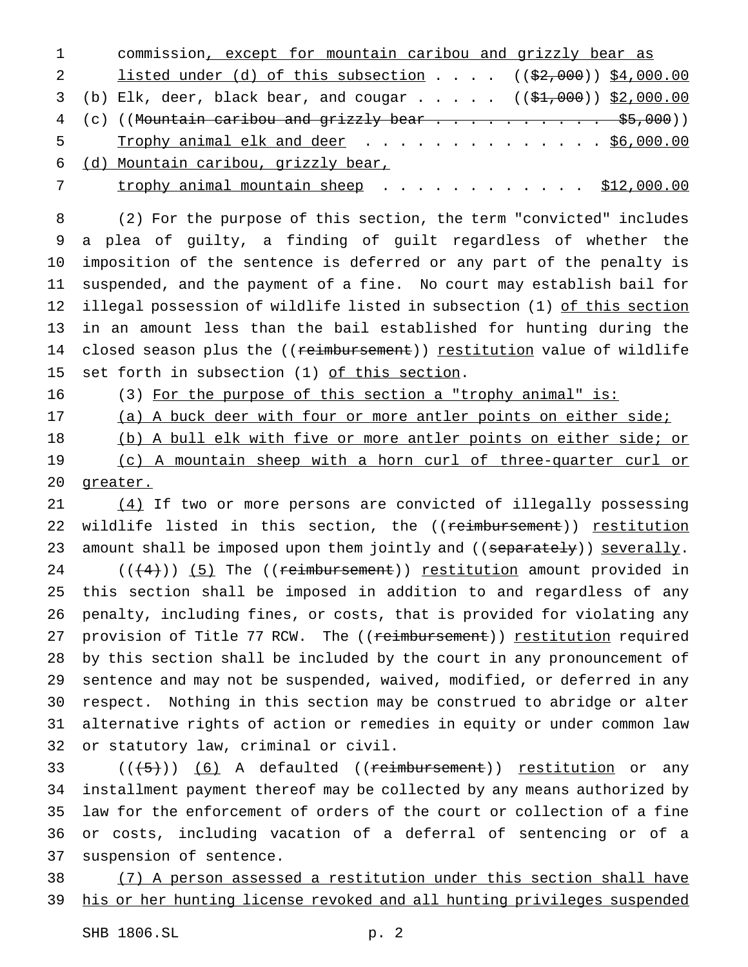commission, except for mountain caribou and grizzly bear as 2 listed under (d) of this subsection . . . . ((\$2,000)) \$4,000.00 3 (b) Elk, deer, black bear, and cougar . . . . .  $($   $($ \$1,000)) \$2,000.00 4 (c) ((Mountain caribou and grizzly bear  $\ldots$ .............. \$5,000)) 5 Trophy animal elk and deer . . . . . . . . . . . . . \$6,000.00 (d) Mountain caribou, grizzly bear,

7 trophy animal mountain sheep . . . . . . . . . . . \$12,000.00

 (2) For the purpose of this section, the term "convicted" includes a plea of guilty, a finding of guilt regardless of whether the imposition of the sentence is deferred or any part of the penalty is suspended, and the payment of a fine. No court may establish bail for 12 illegal possession of wildlife listed in subsection (1) of this section in an amount less than the bail established for hunting during the 14 closed season plus the ((reimbursement)) restitution value of wildlife set forth in subsection (1) of this section.

16 (3) For the purpose of this section a "trophy animal" is:

- 17 (a) A buck deer with four or more antler points on either side;
- 

(b) A bull elk with five or more antler points on either side; or

 (c) A mountain sheep with a horn curl of three-quarter curl or greater.

 (4) If two or more persons are convicted of illegally possessing 22 wildlife listed in this section, the ((reimbursement)) restitution 23 amount shall be imposed upon them jointly and ((separately)) severally.  $((+4))$   $(5)$  The ((reimbursement)) restitution amount provided in this section shall be imposed in addition to and regardless of any penalty, including fines, or costs, that is provided for violating any 27 provision of Title 77 RCW. The ((reimbursement)) restitution required by this section shall be included by the court in any pronouncement of sentence and may not be suspended, waived, modified, or deferred in any respect. Nothing in this section may be construed to abridge or alter alternative rights of action or remedies in equity or under common law or statutory law, criminal or civil.

 $((\text{(+5)}))$  (6) A defaulted ((reimbursement)) restitution or any installment payment thereof may be collected by any means authorized by law for the enforcement of orders of the court or collection of a fine or costs, including vacation of a deferral of sentencing or of a suspension of sentence.

 (7) A person assessed a restitution under this section shall have 39 his or her hunting license revoked and all hunting privileges suspended